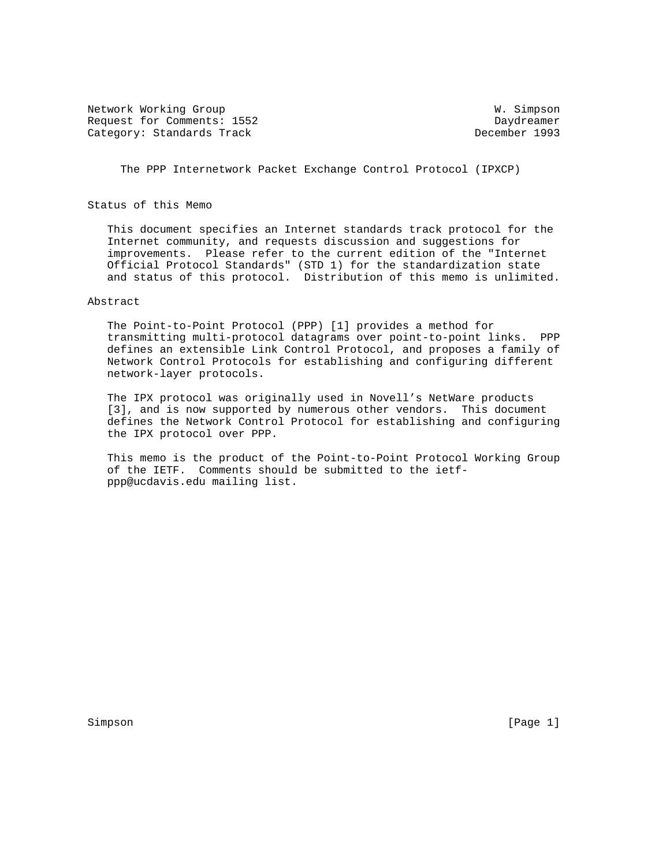Network Working Group W. Simpson Request for Comments: 1552 Daydreamer Category: Standards Track

The PPP Internetwork Packet Exchange Control Protocol (IPXCP)

Status of this Memo

 This document specifies an Internet standards track protocol for the Internet community, and requests discussion and suggestions for improvements. Please refer to the current edition of the "Internet Official Protocol Standards" (STD 1) for the standardization state and status of this protocol. Distribution of this memo is unlimited.

# Abstract

 The Point-to-Point Protocol (PPP) [1] provides a method for transmitting multi-protocol datagrams over point-to-point links. PPP defines an extensible Link Control Protocol, and proposes a family of Network Control Protocols for establishing and configuring different network-layer protocols.

 The IPX protocol was originally used in Novell's NetWare products [3], and is now supported by numerous other vendors. This document defines the Network Control Protocol for establishing and configuring the IPX protocol over PPP.

 This memo is the product of the Point-to-Point Protocol Working Group of the IETF. Comments should be submitted to the ietf ppp@ucdavis.edu mailing list.

Simpson [Page 1] [Page 1] [Page 1] [Page 1] [Page 1] [Page 1] [Page 1] [Page 1] [Page 1] [Page 1] [Page 1] [Page 1] [Page 1] [Page 1] [Page 1] [Page 1] [Page 1] [Page 1] [Page 1] [Page 1] [Page 1] [Page 1] [Page 1] [Page 1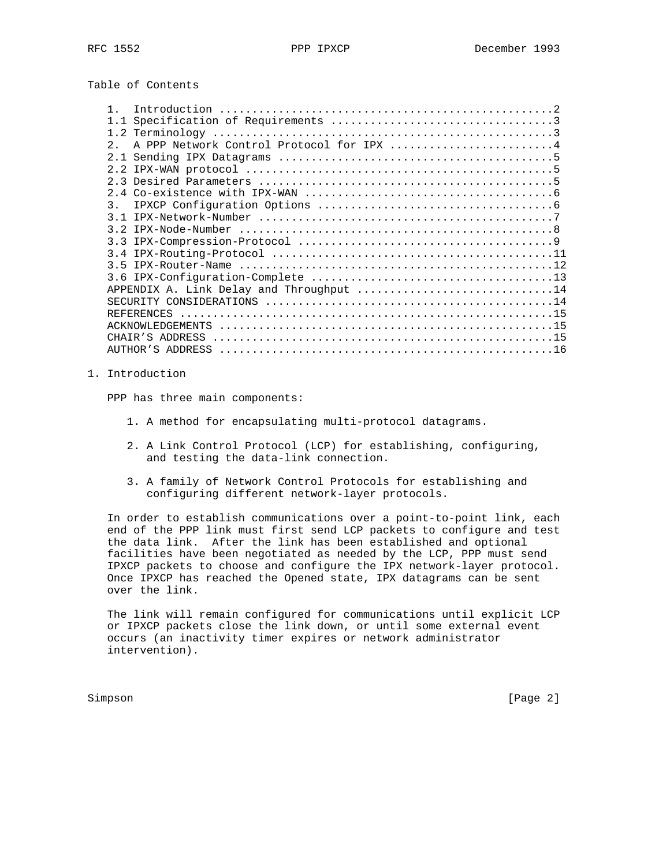Table of Contents

|                  | Introduction                             |  |
|------------------|------------------------------------------|--|
|                  |                                          |  |
|                  |                                          |  |
| $2^{\circ}$      | A PPP Network Control Protocol for IPX 4 |  |
|                  |                                          |  |
|                  |                                          |  |
|                  |                                          |  |
|                  |                                          |  |
| $\overline{3}$ . |                                          |  |
|                  |                                          |  |
|                  |                                          |  |
|                  |                                          |  |
|                  |                                          |  |
|                  |                                          |  |
|                  |                                          |  |
|                  | APPENDIX A. Link Delay and Throughput 14 |  |
|                  |                                          |  |
|                  |                                          |  |
|                  |                                          |  |
|                  |                                          |  |
|                  |                                          |  |

1. Introduction

PPP has three main components:

- 1. A method for encapsulating multi-protocol datagrams.
- 2. A Link Control Protocol (LCP) for establishing, configuring, and testing the data-link connection.
- 3. A family of Network Control Protocols for establishing and configuring different network-layer protocols.

 In order to establish communications over a point-to-point link, each end of the PPP link must first send LCP packets to configure and test the data link. After the link has been established and optional facilities have been negotiated as needed by the LCP, PPP must send IPXCP packets to choose and configure the IPX network-layer protocol. Once IPXCP has reached the Opened state, IPX datagrams can be sent over the link.

 The link will remain configured for communications until explicit LCP or IPXCP packets close the link down, or until some external event occurs (an inactivity timer expires or network administrator intervention).

Simpson [Page 2]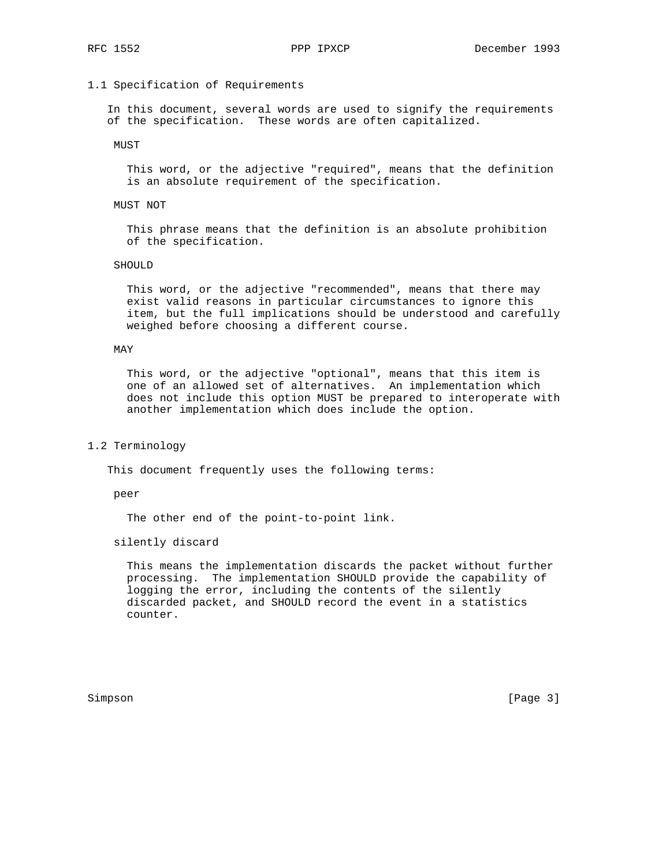## 1.1 Specification of Requirements

 In this document, several words are used to signify the requirements of the specification. These words are often capitalized.

MUST

 This word, or the adjective "required", means that the definition is an absolute requirement of the specification.

#### MUST NOT

 This phrase means that the definition is an absolute prohibition of the specification.

#### SHOULD

 This word, or the adjective "recommended", means that there may exist valid reasons in particular circumstances to ignore this item, but the full implications should be understood and carefully weighed before choosing a different course.

#### MAY

 This word, or the adjective "optional", means that this item is one of an allowed set of alternatives. An implementation which does not include this option MUST be prepared to interoperate with another implementation which does include the option.

#### 1.2 Terminology

This document frequently uses the following terms:

peer

The other end of the point-to-point link.

## silently discard

 This means the implementation discards the packet without further processing. The implementation SHOULD provide the capability of logging the error, including the contents of the silently discarded packet, and SHOULD record the event in a statistics counter.

Simpson [Page 3]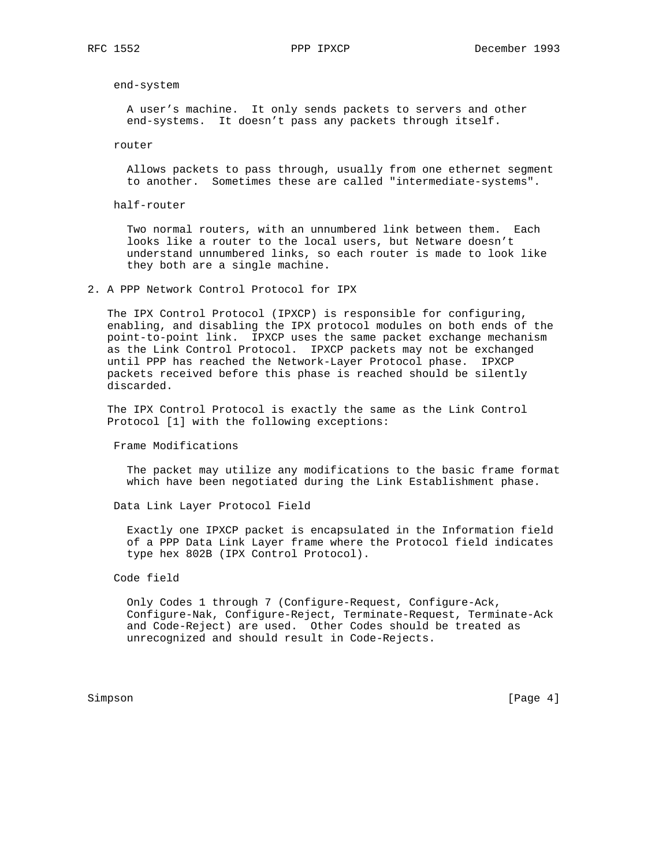end-system

 A user's machine. It only sends packets to servers and other end-systems. It doesn't pass any packets through itself.

router

 Allows packets to pass through, usually from one ethernet segment to another. Sometimes these are called "intermediate-systems".

half-router

 Two normal routers, with an unnumbered link between them. Each looks like a router to the local users, but Netware doesn't understand unnumbered links, so each router is made to look like they both are a single machine.

2. A PPP Network Control Protocol for IPX

 The IPX Control Protocol (IPXCP) is responsible for configuring, enabling, and disabling the IPX protocol modules on both ends of the point-to-point link. IPXCP uses the same packet exchange mechanism as the Link Control Protocol. IPXCP packets may not be exchanged until PPP has reached the Network-Layer Protocol phase. IPXCP packets received before this phase is reached should be silently discarded.

 The IPX Control Protocol is exactly the same as the Link Control Protocol [1] with the following exceptions:

Frame Modifications

 The packet may utilize any modifications to the basic frame format which have been negotiated during the Link Establishment phase.

Data Link Layer Protocol Field

 Exactly one IPXCP packet is encapsulated in the Information field of a PPP Data Link Layer frame where the Protocol field indicates type hex 802B (IPX Control Protocol).

## Code field

 Only Codes 1 through 7 (Configure-Request, Configure-Ack, Configure-Nak, Configure-Reject, Terminate-Request, Terminate-Ack and Code-Reject) are used. Other Codes should be treated as unrecognized and should result in Code-Rejects.

Simpson [Page 4]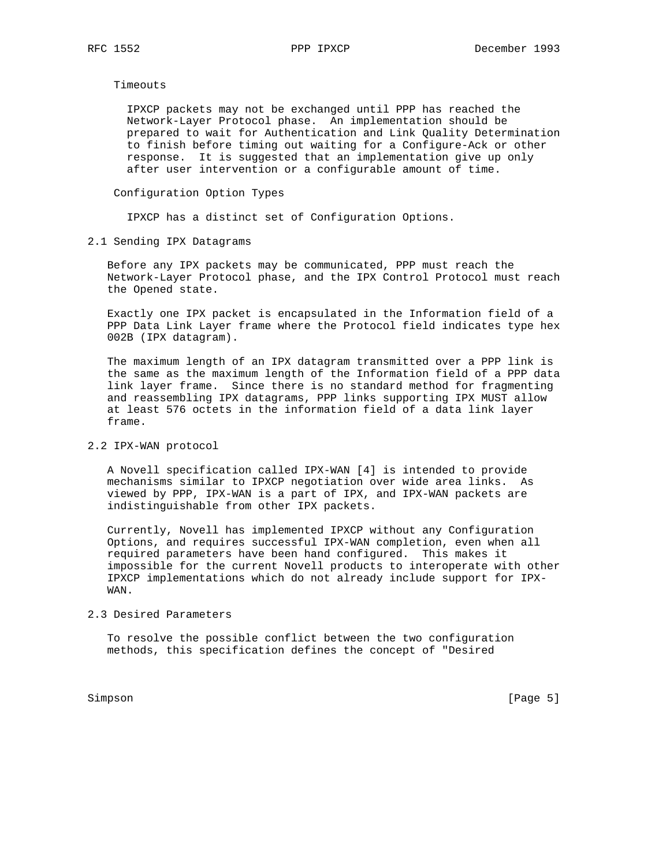Timeouts

 IPXCP packets may not be exchanged until PPP has reached the Network-Layer Protocol phase. An implementation should be prepared to wait for Authentication and Link Quality Determination to finish before timing out waiting for a Configure-Ack or other response. It is suggested that an implementation give up only after user intervention or a configurable amount of time.

## Configuration Option Types

IPXCP has a distinct set of Configuration Options.

2.1 Sending IPX Datagrams

 Before any IPX packets may be communicated, PPP must reach the Network-Layer Protocol phase, and the IPX Control Protocol must reach the Opened state.

 Exactly one IPX packet is encapsulated in the Information field of a PPP Data Link Layer frame where the Protocol field indicates type hex 002B (IPX datagram).

 The maximum length of an IPX datagram transmitted over a PPP link is the same as the maximum length of the Information field of a PPP data link layer frame. Since there is no standard method for fragmenting and reassembling IPX datagrams, PPP links supporting IPX MUST allow at least 576 octets in the information field of a data link layer frame.

## 2.2 IPX-WAN protocol

 A Novell specification called IPX-WAN [4] is intended to provide mechanisms similar to IPXCP negotiation over wide area links. As viewed by PPP, IPX-WAN is a part of IPX, and IPX-WAN packets are indistinguishable from other IPX packets.

 Currently, Novell has implemented IPXCP without any Configuration Options, and requires successful IPX-WAN completion, even when all required parameters have been hand configured. This makes it impossible for the current Novell products to interoperate with other IPXCP implementations which do not already include support for IPX- WAN.

## 2.3 Desired Parameters

 To resolve the possible conflict between the two configuration methods, this specification defines the concept of "Desired

Simpson [Page 5]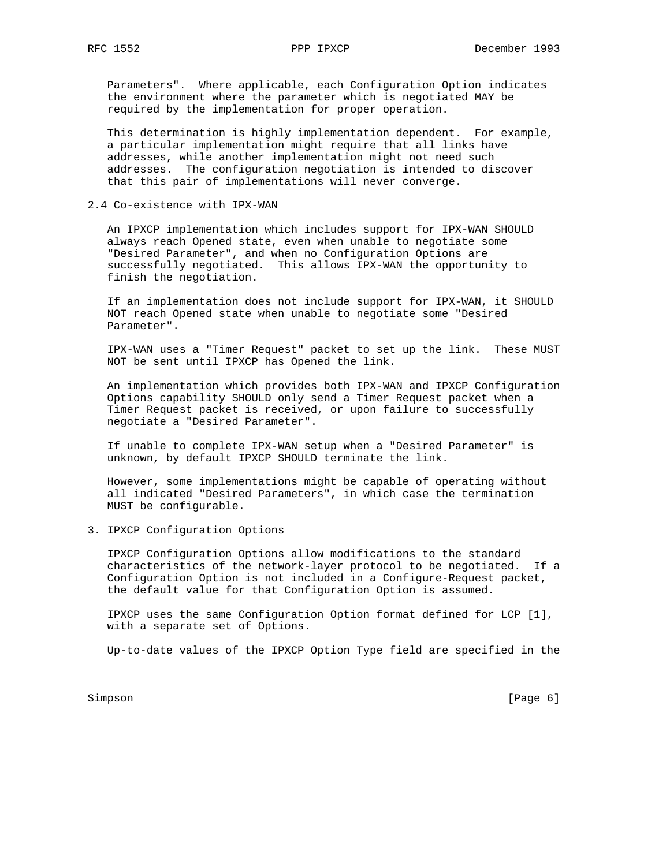Parameters". Where applicable, each Configuration Option indicates the environment where the parameter which is negotiated MAY be required by the implementation for proper operation.

 This determination is highly implementation dependent. For example, a particular implementation might require that all links have addresses, while another implementation might not need such addresses. The configuration negotiation is intended to discover that this pair of implementations will never converge.

2.4 Co-existence with IPX-WAN

 An IPXCP implementation which includes support for IPX-WAN SHOULD always reach Opened state, even when unable to negotiate some "Desired Parameter", and when no Configuration Options are successfully negotiated. This allows IPX-WAN the opportunity to finish the negotiation.

 If an implementation does not include support for IPX-WAN, it SHOULD NOT reach Opened state when unable to negotiate some "Desired Parameter".

 IPX-WAN uses a "Timer Request" packet to set up the link. These MUST NOT be sent until IPXCP has Opened the link.

 An implementation which provides both IPX-WAN and IPXCP Configuration Options capability SHOULD only send a Timer Request packet when a Timer Request packet is received, or upon failure to successfully negotiate a "Desired Parameter".

 If unable to complete IPX-WAN setup when a "Desired Parameter" is unknown, by default IPXCP SHOULD terminate the link.

 However, some implementations might be capable of operating without all indicated "Desired Parameters", in which case the termination MUST be configurable.

3. IPXCP Configuration Options

 IPXCP Configuration Options allow modifications to the standard characteristics of the network-layer protocol to be negotiated. If a Configuration Option is not included in a Configure-Request packet, the default value for that Configuration Option is assumed.

 IPXCP uses the same Configuration Option format defined for LCP [1], with a separate set of Options.

Up-to-date values of the IPXCP Option Type field are specified in the

Simpson [Page 6] [Page 6] [Page 6] [Page 6] [Page 6] [Page 6] [Page 6] [Page 6] [Page 6] [Page 6] [Page 6] [Page 6] [Page 6] [Page 6] [Page 6] [Page 6] [Page 6] [Page 6] [Page 6] [Page 6] [Page 6] [Page 6] [Page 6] [Page 6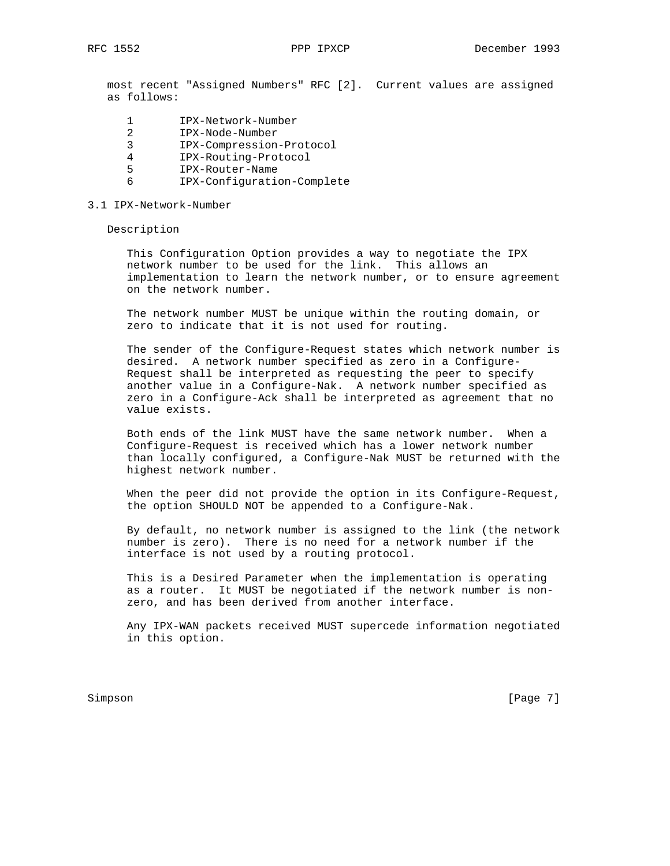most recent "Assigned Numbers" RFC [2]. Current values are assigned as follows:

- 1 IPX-Network-Number
- 2 IPX-Node-Number
- 3 IPX-Compression-Protocol
- 4 IPX-Routing-Protocol
- 5 IPX-Router-Name
- 6 IPX-Configuration-Complete

#### 3.1 IPX-Network-Number

Description

 This Configuration Option provides a way to negotiate the IPX network number to be used for the link. This allows an implementation to learn the network number, or to ensure agreement on the network number.

 The network number MUST be unique within the routing domain, or zero to indicate that it is not used for routing.

 The sender of the Configure-Request states which network number is desired. A network number specified as zero in a Configure- Request shall be interpreted as requesting the peer to specify another value in a Configure-Nak. A network number specified as zero in a Configure-Ack shall be interpreted as agreement that no value exists.

 Both ends of the link MUST have the same network number. When a Configure-Request is received which has a lower network number than locally configured, a Configure-Nak MUST be returned with the highest network number.

 When the peer did not provide the option in its Configure-Request, the option SHOULD NOT be appended to a Configure-Nak.

 By default, no network number is assigned to the link (the network number is zero). There is no need for a network number if the interface is not used by a routing protocol.

 This is a Desired Parameter when the implementation is operating as a router. It MUST be negotiated if the network number is non zero, and has been derived from another interface.

 Any IPX-WAN packets received MUST supercede information negotiated in this option.

Simpson [Page 7]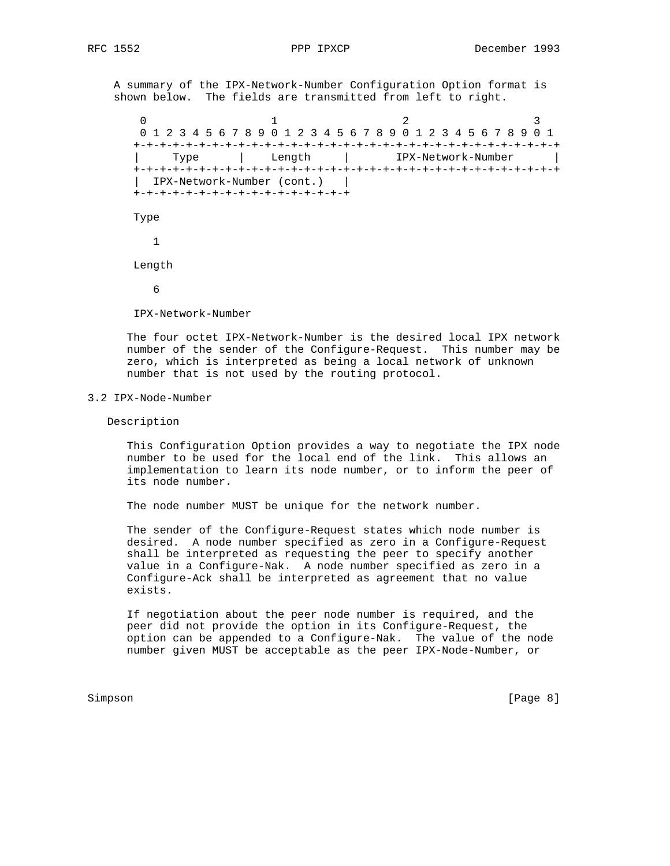A summary of the IPX-Network-Number Configuration Option format is shown below. The fields are transmitted from left to right.

 $0$  1 2 3 0 1 2 3 4 5 6 7 8 9 0 1 2 3 4 5 6 7 8 9 0 1 2 3 4 5 6 7 8 9 0 1 +-+-+-+-+-+-+-+-+-+-+-+-+-+-+-+-+-+-+-+-+-+-+-+-+-+-+-+-+-+-+-+-+ | Type | Length | IPX-Network-Number | +-+-+-+-+-+-+-+-+-+-+-+-+-+-+-+-+-+-+-+-+-+-+-+-+-+-+-+-+-+-+-+-+ | IPX-Network-Number (cont.) | +-+-+-+-+-+-+-+-+-+-+-+-+-+-+-+-+ Type 1 Length 6

IPX-Network-Number

 The four octet IPX-Network-Number is the desired local IPX network number of the sender of the Configure-Request. This number may be zero, which is interpreted as being a local network of unknown number that is not used by the routing protocol.

## 3.2 IPX-Node-Number

Description

 This Configuration Option provides a way to negotiate the IPX node number to be used for the local end of the link. This allows an implementation to learn its node number, or to inform the peer of its node number.

The node number MUST be unique for the network number.

 The sender of the Configure-Request states which node number is desired. A node number specified as zero in a Configure-Request shall be interpreted as requesting the peer to specify another value in a Configure-Nak. A node number specified as zero in a Configure-Ack shall be interpreted as agreement that no value exists.

 If negotiation about the peer node number is required, and the peer did not provide the option in its Configure-Request, the option can be appended to a Configure-Nak. The value of the node number given MUST be acceptable as the peer IPX-Node-Number, or

Simpson [Page 8]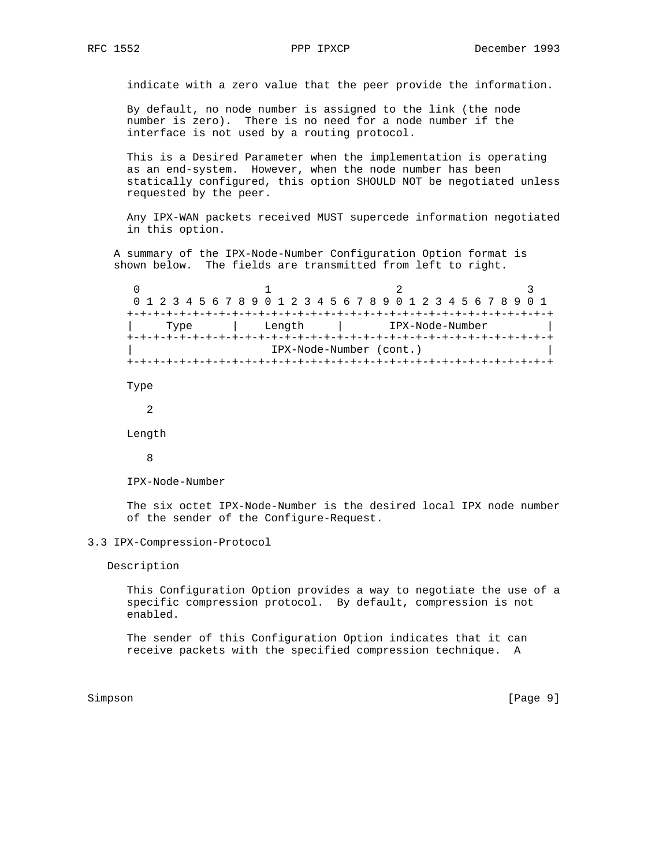indicate with a zero value that the peer provide the information.

 By default, no node number is assigned to the link (the node number is zero). There is no need for a node number if the interface is not used by a routing protocol.

 This is a Desired Parameter when the implementation is operating as an end-system. However, when the node number has been statically configured, this option SHOULD NOT be negotiated unless requested by the peer.

 Any IPX-WAN packets received MUST supercede information negotiated in this option.

 A summary of the IPX-Node-Number Configuration Option format is shown below. The fields are transmitted from left to right.

0  $1$  2 3 0 1 2 3 4 5 6 7 8 9 0 1 2 3 4 5 6 7 8 9 0 1 2 3 4 5 6 7 8 9 0 1 +-+-+-+-+-+-+-+-+-+-+-+-+-+-+-+-+-+-+-+-+-+-+-+-+-+-+-+-+-+-+-+-+ | Type | Length | IPX-Node-Number | +-+-+-+-+-+-+-+-+-+-+-+-+-+-+-+-+-+-+-+-+-+-+-+-+-+-+-+-+-+-+-+-+ | IPX-Node-Number (cont.) | +-+-+-+-+-+-+-+-+-+-+-+-+-+-+-+-+-+-+-+-+-+-+-+-+-+-+-+-+-+-+-+-+ Type

2

Length

8

IPX-Node-Number

 The six octet IPX-Node-Number is the desired local IPX node number of the sender of the Configure-Request.

#### 3.3 IPX-Compression-Protocol

Description

 This Configuration Option provides a way to negotiate the use of a specific compression protocol. By default, compression is not enabled.

 The sender of this Configuration Option indicates that it can receive packets with the specified compression technique. A

Simpson [Page 9] [Page 9]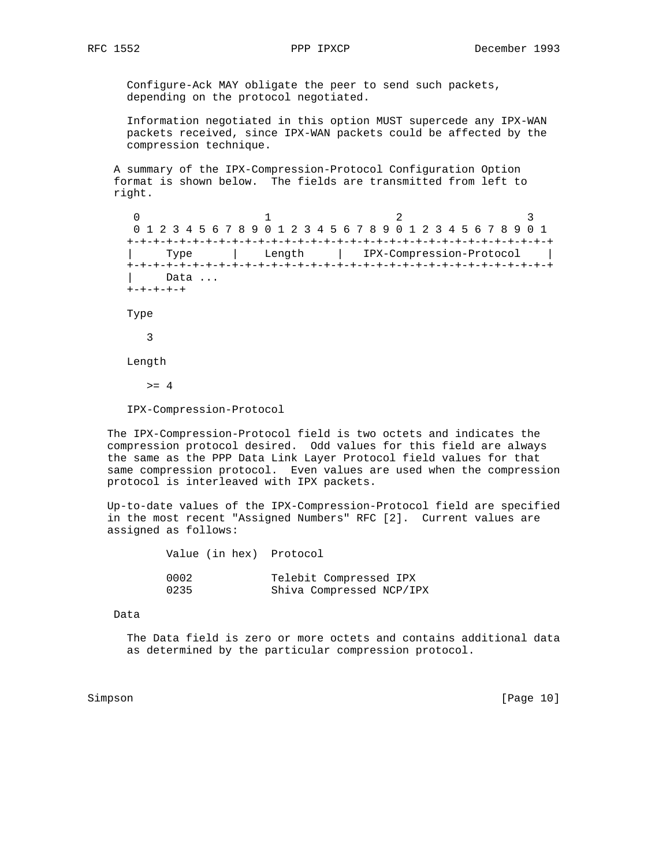Configure-Ack MAY obligate the peer to send such packets, depending on the protocol negotiated.

 Information negotiated in this option MUST supercede any IPX-WAN packets received, since IPX-WAN packets could be affected by the compression technique.

 A summary of the IPX-Compression-Protocol Configuration Option format is shown below. The fields are transmitted from left to right.

0  $1$  2 3 0 1 2 3 4 5 6 7 8 9 0 1 2 3 4 5 6 7 8 9 0 1 2 3 4 5 6 7 8 9 0 1 +-+-+-+-+-+-+-+-+-+-+-+-+-+-+-+-+-+-+-+-+-+-+-+-+-+-+-+-+-+-+-+-+ | Type | Length | IPX-Compression-Protocol | +-+-+-+-+-+-+-+-+-+-+-+-+-+-+-+-+-+-+-+-+-+-+-+-+-+-+-+-+-+-+-+-+ Data ... +-+-+-+-+

Type

3

Length

 $>= 4$ 

IPX-Compression-Protocol

 The IPX-Compression-Protocol field is two octets and indicates the compression protocol desired. Odd values for this field are always the same as the PPP Data Link Layer Protocol field values for that same compression protocol. Even values are used when the compression protocol is interleaved with IPX packets.

 Up-to-date values of the IPX-Compression-Protocol field are specified in the most recent "Assigned Numbers" RFC [2]. Current values are assigned as follows:

| Value (in hex) Protocol |                          |
|-------------------------|--------------------------|
| 0002                    | Telebit Compressed IPX   |
| 0235                    | Shiva Compressed NCP/IPX |

Data

 The Data field is zero or more octets and contains additional data as determined by the particular compression protocol.

Simpson [Page 10]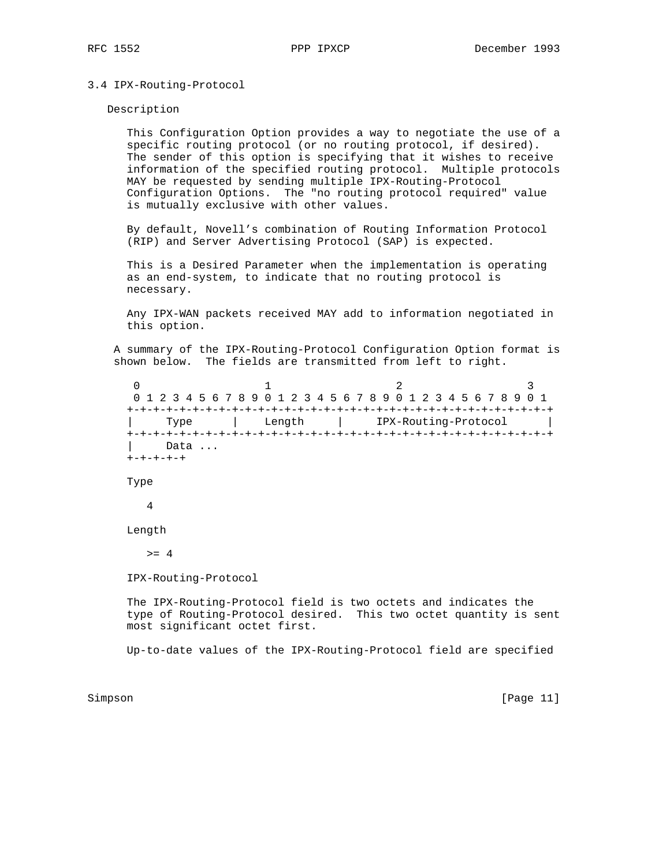#### 3.4 IPX-Routing-Protocol

Description

 This Configuration Option provides a way to negotiate the use of a specific routing protocol (or no routing protocol, if desired). The sender of this option is specifying that it wishes to receive information of the specified routing protocol. Multiple protocols MAY be requested by sending multiple IPX-Routing-Protocol Configuration Options. The "no routing protocol required" value is mutually exclusive with other values.

 By default, Novell's combination of Routing Information Protocol (RIP) and Server Advertising Protocol (SAP) is expected.

 This is a Desired Parameter when the implementation is operating as an end-system, to indicate that no routing protocol is necessary.

 Any IPX-WAN packets received MAY add to information negotiated in this option.

 A summary of the IPX-Routing-Protocol Configuration Option format is shown below. The fields are transmitted from left to right.

 $0$  1 2 3 0 1 2 3 4 5 6 7 8 9 0 1 2 3 4 5 6 7 8 9 0 1 2 3 4 5 6 7 8 9 0 1 +-+-+-+-+-+-+-+-+-+-+-+-+-+-+-+-+-+-+-+-+-+-+-+-+-+-+-+-+-+-+-+-+ | Type | Length | IPX-Routing-Protocol | +-+-+-+-+-+-+-+-+-+-+-+-+-+-+-+-+-+-+-+-+-+-+-+-+-+-+-+-+-+-+-+-+ Data ... +-+-+-+-+ Type

4

Length

 $>= 4$ 

IPX-Routing-Protocol

 The IPX-Routing-Protocol field is two octets and indicates the type of Routing-Protocol desired. This two octet quantity is sent most significant octet first.

Up-to-date values of the IPX-Routing-Protocol field are specified

Simpson [Page 11]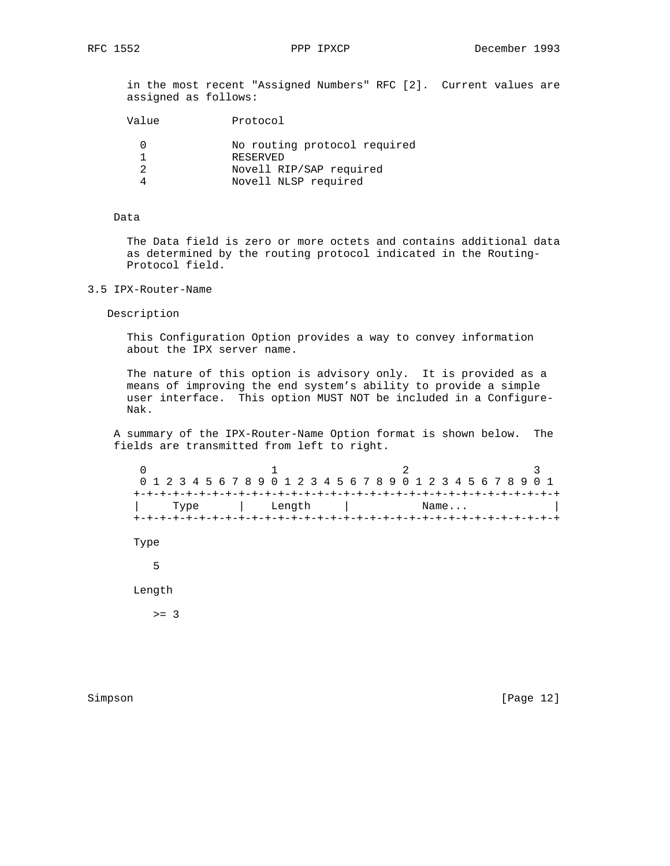in the most recent "Assigned Numbers" RFC [2]. Current values are assigned as follows:

| Value | Protocol                                 |
|-------|------------------------------------------|
|       | No routing protocol required<br>RESERVED |
|       | Novell RIP/SAP required                  |
|       | Novell NLSP required                     |

# Data

 The Data field is zero or more octets and contains additional data as determined by the routing protocol indicated in the Routing- Protocol field.

# 3.5 IPX-Router-Name

Description

 This Configuration Option provides a way to convey information about the IPX server name.

 The nature of this option is advisory only. It is provided as a means of improving the end system's ability to provide a simple user interface. This option MUST NOT be included in a Configure- Nak.

 A summary of the IPX-Router-Name Option format is shown below. The fields are transmitted from left to right.

 $0$  1 2 3 0 1 2 3 4 5 6 7 8 9 0 1 2 3 4 5 6 7 8 9 0 1 2 3 4 5 6 7 8 9 0 1 +-+-+-+-+-+-+-+-+-+-+-+-+-+-+-+-+-+-+-+-+-+-+-+-+-+-+-+-+-+-+-+-+ | Type | Length | Name... | +-+-+-+-+-+-+-+-+-+-+-+-+-+-+-+-+-+-+-+-+-+-+-+-+-+-+-+-+-+-+-+-+ Type 5 Length

 $>= 3$ 

Simpson [Page 12]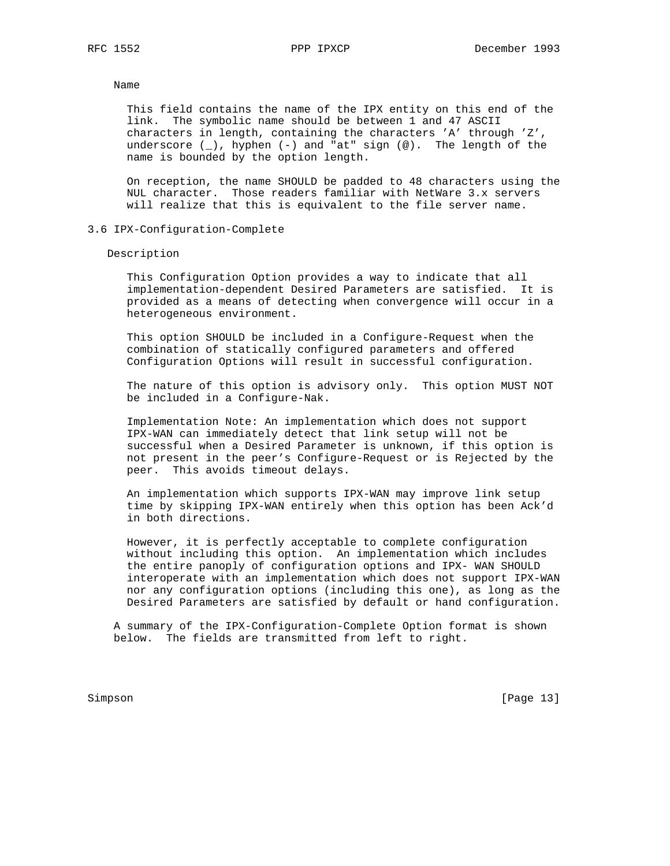#### Name

 This field contains the name of the IPX entity on this end of the link. The symbolic name should be between 1 and 47 ASCII characters in length, containing the characters 'A' through 'Z', underscore  $(\_)$ , hyphen  $(-)$  and "at" sign  $(\%)$ . The length of the name is bounded by the option length.

 On reception, the name SHOULD be padded to 48 characters using the NUL character. Those readers familiar with NetWare 3.x servers will realize that this is equivalent to the file server name.

#### 3.6 IPX-Configuration-Complete

Description

 This Configuration Option provides a way to indicate that all implementation-dependent Desired Parameters are satisfied. It is provided as a means of detecting when convergence will occur in a heterogeneous environment.

 This option SHOULD be included in a Configure-Request when the combination of statically configured parameters and offered Configuration Options will result in successful configuration.

 The nature of this option is advisory only. This option MUST NOT be included in a Configure-Nak.

 Implementation Note: An implementation which does not support IPX-WAN can immediately detect that link setup will not be successful when a Desired Parameter is unknown, if this option is not present in the peer's Configure-Request or is Rejected by the peer. This avoids timeout delays.

 An implementation which supports IPX-WAN may improve link setup time by skipping IPX-WAN entirely when this option has been Ack'd in both directions.

 However, it is perfectly acceptable to complete configuration without including this option. An implementation which includes the entire panoply of configuration options and IPX- WAN SHOULD interoperate with an implementation which does not support IPX-WAN nor any configuration options (including this one), as long as the Desired Parameters are satisfied by default or hand configuration.

 A summary of the IPX-Configuration-Complete Option format is shown below. The fields are transmitted from left to right.

Simpson [Page 13]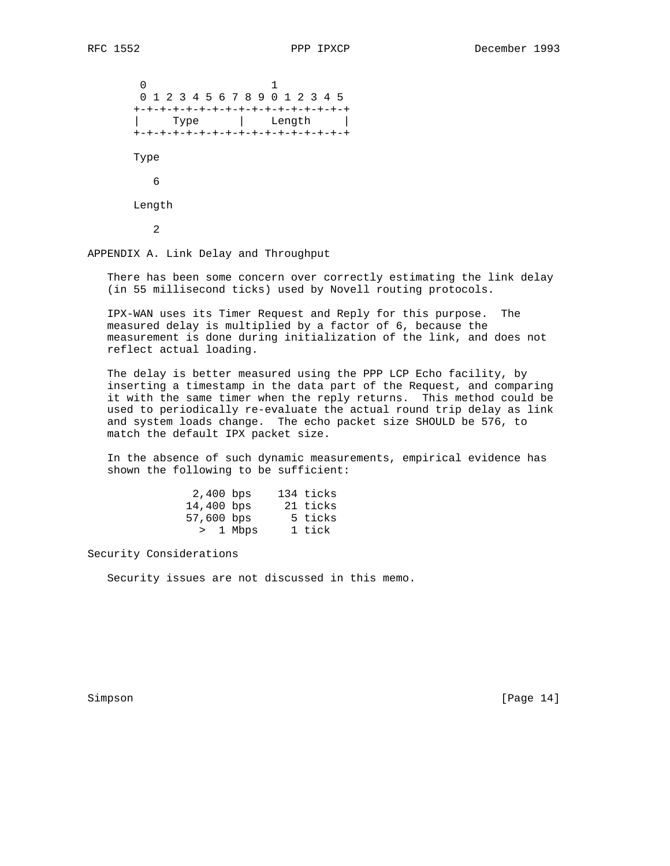$\sim$  0  $\sim$  1 0 1 2 3 4 5 6 7 8 9 0 1 2 3 4 5 +-+-+-+-+-+-+-+-+-+-+-+-+-+-+-+-+ | Type | Length | +-+-+-+-+-+-+-+-+-+-+-+-+-+-+-+-+ Type 6 Length 2

APPENDIX A. Link Delay and Throughput

 There has been some concern over correctly estimating the link delay (in 55 millisecond ticks) used by Novell routing protocols.

 IPX-WAN uses its Timer Request and Reply for this purpose. The measured delay is multiplied by a factor of 6, because the measurement is done during initialization of the link, and does not reflect actual loading.

 The delay is better measured using the PPP LCP Echo facility, by inserting a timestamp in the data part of the Request, and comparing it with the same timer when the reply returns. This method could be used to periodically re-evaluate the actual round trip delay as link and system loads change. The echo packet size SHOULD be 576, to match the default IPX packet size.

 In the absence of such dynamic measurements, empirical evidence has shown the following to be sufficient:

|                                                   | 134 ticks |
|---------------------------------------------------|-----------|
|                                                   | 21 ticks  |
|                                                   | 5 ticks   |
|                                                   | 1 tick    |
| 2,400 bps<br>14,400 bps<br>57,600 bps<br>> 1 Mbps |           |

Security Considerations

Security issues are not discussed in this memo.

Simpson [Page 14]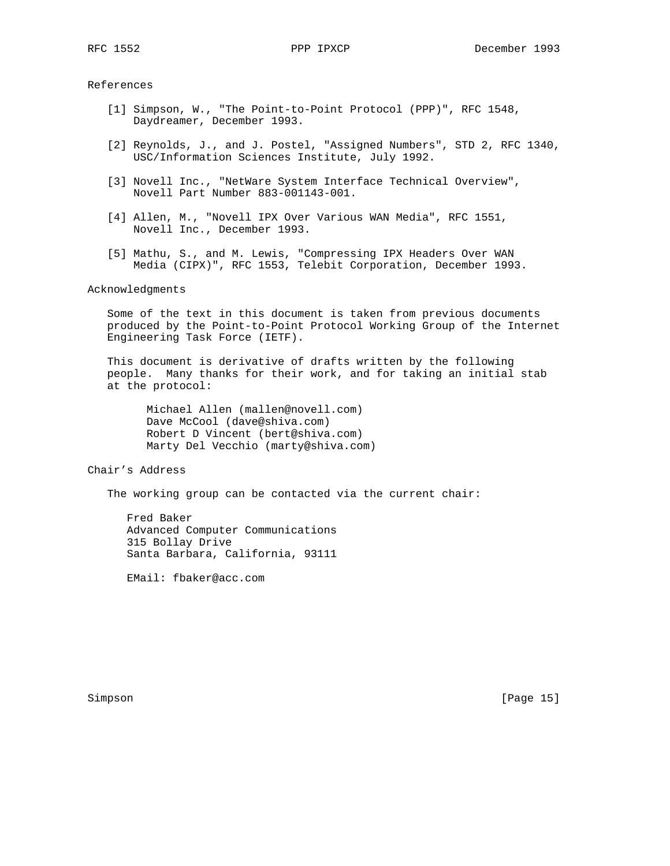References

- [1] Simpson, W., "The Point-to-Point Protocol (PPP)", RFC 1548, Daydreamer, December 1993.
- [2] Reynolds, J., and J. Postel, "Assigned Numbers", STD 2, RFC 1340, USC/Information Sciences Institute, July 1992.
- [3] Novell Inc., "NetWare System Interface Technical Overview", Novell Part Number 883-001143-001.
- [4] Allen, M., "Novell IPX Over Various WAN Media", RFC 1551, Novell Inc., December 1993.
- [5] Mathu, S., and M. Lewis, "Compressing IPX Headers Over WAN Media (CIPX)", RFC 1553, Telebit Corporation, December 1993.

## Acknowledgments

 Some of the text in this document is taken from previous documents produced by the Point-to-Point Protocol Working Group of the Internet Engineering Task Force (IETF).

 This document is derivative of drafts written by the following people. Many thanks for their work, and for taking an initial stab at the protocol:

 Michael Allen (mallen@novell.com) Dave McCool (dave@shiva.com) Robert D Vincent (bert@shiva.com) Marty Del Vecchio (marty@shiva.com)

Chair's Address

The working group can be contacted via the current chair:

 Fred Baker Advanced Computer Communications 315 Bollay Drive Santa Barbara, California, 93111

EMail: fbaker@acc.com

Simpson [Page 15]